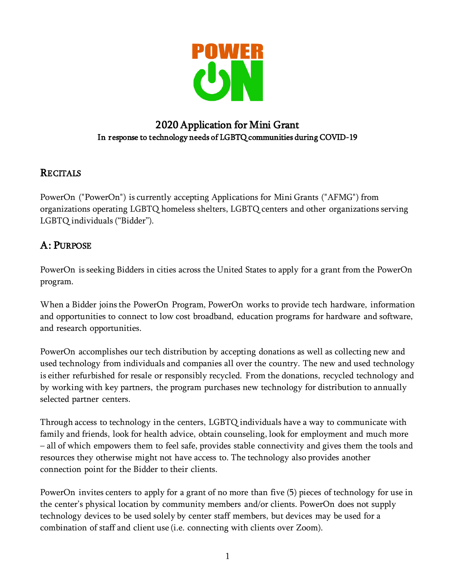

## 2020 Application for Mini Grant In response to technology needs of LGBTQ communities during COVID-19

## **RECITALS**

PowerOn ("PowerOn") is currently accepting Applications for Mini Grants ("AFMG") from organizations operating LGBTQ homeless shelters, LGBTQ centers and other organizations serving LGBTQ individuals ("Bidder").

## A: PURPOSE

PowerOn is seeking Bidders in cities across the United States to apply for a grant from the PowerOn program.

When a Bidder joins the PowerOn Program, PowerOn works to provide tech hardware, information and opportunities to connect to low cost broadband, education programs for hardware and software, and research opportunities.

PowerOn accomplishes our tech distribution by accepting donations as well as collecting new and used technology from individuals and companies all over the country. The new and used technology is either refurbished for resale or responsibly recycled. From the donations, recycled technology and by working with key partners, the program purchases new technology for distribution to annually selected partner centers.

Through access to technology in the centers, LGBTQ individuals have a way to communicate with family and friends, look for health advice, obtain counseling, look for employment and much more – all of which empowers them to feel safe, provides stable connectivity and gives them the tools and resources they otherwise might not have access to. The technology also provides another connection point for the Bidder to their clients.

PowerOn invites centers to apply for a grant of no more than five (5) pieces of technology for use in the center's physical location by community members and/or clients. PowerOn does not supply technology devices to be used solely by center staff members, but devices may be used for a combination of staff and client use (i.e. connecting with clients over Zoom).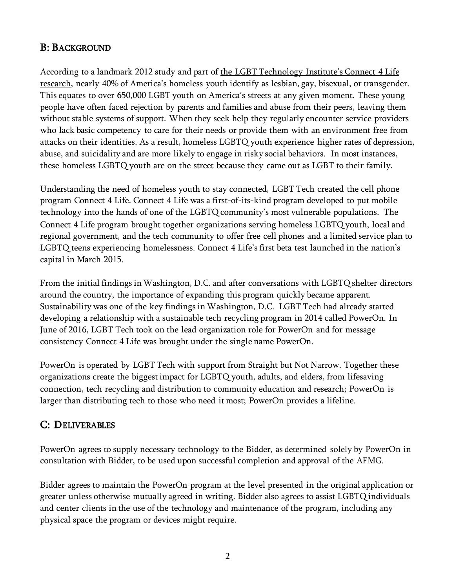## B: BACKGROUND

According to a landmark 2012 study and part o[f](http://lgbttechpartnership.org/institute/connect-4-life/helping-homeless-youth-stay-connected-connect-4-life/) the LGBT [Technology](http://lgbttechpartnership.org/institute/connect-4-life/helping-homeless-youth-stay-connected-connect-4-life/) Institute's Connect 4 Life [research,](http://lgbttechpartnership.org/institute/connect-4-life/helping-homeless-youth-stay-connected-connect-4-life/) nearly 40% of America's homeless youth identify as lesbian, gay, bisexual, or transgender. This equates to over 650,000 LGBT youth on America's streets at any given moment. These young people have often faced rejection by parents and families and abuse from their peers, leaving them without stable systems of support. When they seek help they regularly encounter service providers who lack basic competency to care for their needs or provide them with an environment free from attacks on their identities. As a result, homeless LGBTQ youth experience higher rates of depression, abuse, and suicidality and are more likely to engage in risky social behaviors. In most instances, these homeless LGBTQ youth are on the street because they came out as LGBT to their family.

Understanding the need of homeless youth to stay connected, LGBT Tech created the cell phone program Connect 4 Life. Connect 4 Life was a first-of-its-kind program developed to put mobile technology into the hands of one of the LGBTQ community's most vulnerable populations. The Connect 4 Life program brought together organizations serving homeless LGBTQ youth, local and regional government, and the tech community to offer free cell phones and a limited service plan to LGBTQ teens experiencing homelessness. Connect 4 Life's first beta test launched in the nation's capital in March 2015.

From the initial findings in Washington, D.C. and after conversations with LGBTQ shelter directors around the country, the importance of expanding this program quickly became apparent. Sustainability was one of the key findings in Washington, D.C. LGBT Tech had already started developing a relationship with a sustainable tech recycling program in 2014 called PowerOn. In June of 2016, LGBT Tech took on the lead organization role for PowerOn and for message consistency Connect 4 Life was brought under the single name PowerOn.

PowerOn is operated by LGBT Tech with support from Straight but Not Narrow. Together these organizations create the biggest impact for LGBTQ youth, adults, and elders, from lifesaving connection, tech recycling and distribution to community education and research; PowerOn is larger than distributing tech to those who need it most; PowerOn provides a lifeline.

## C: DELIVERABLES

PowerOn agrees to supply necessary technology to the Bidder, as determined solely by PowerOn in consultation with Bidder, to be used upon successful completion and approval of the AFMG.

Bidder agrees to maintain the PowerOn program at the level presented in the original application or greater unless otherwise mutually agreed in writing. Bidder also agrees to assist LGBTQ individuals and center clients in the use of the technology and maintenance of the program, including any physical space the program or devices might require.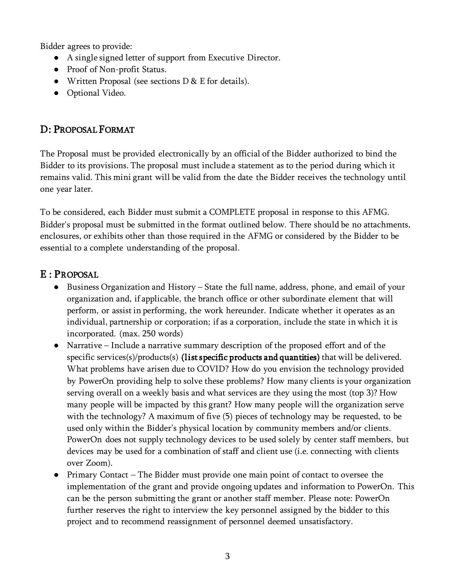Bidder agrees to provide:

- A single signed letter of support from Executive Director.
- Proof of Non-profit Status.
- Written Proposal (see sections D & E for details).
- Optional Video.

# D: PROPOSAL FORMAT

The Proposal must be provided electronically by an official of the Bidder authorized to bind the Bidder to its provisions. The proposal must include a statement as to the period during which it remains valid. This mini grant will be valid from the date the Bidder receives the technology until one year later.

To be considered, each Bidder must submit a COMPLETE proposal in response to this AFMG. Bidder's proposal must be submitted in the format outlined below. There should be no attachments, enclosures, or exhibits other than those required in the AFMG or considered by the Bidder to be essential to a complete understanding of the proposal.

### E : PROPOSAL

- Business Organization and History State the full name, address, phone, and email of your organization and, if applicable, the branch office or other subordinate element that will perform, or assist in performing, the work hereunder. Indicate whether it operates as an individual, partnership or corporation; if as a corporation, include the state in which it is incorporated. (max. 250 words)
- Narrative Include a narrative summary description of the proposed effort and of the specific services(s)/products(s) (list specific products and quantities) that will be delivered. What problems have arisen due to COVID? How do you envision the technology provided by PowerOn providing help to solve these problems? How many clients is your organization serving overall on a weekly basis and what services are they using the most (top 3)? How many people will be impacted by this grant? How many people will the organization serve with the technology? A maximum of five (5) pieces of technology may be requested, to be used only within the Bidder's physical location by community members and/or clients. PowerOn does not supply technology devices to be used solely by center staff members, but devices may be used for a combination of staff and client use (i.e. connecting with clients over Zoom).
- Primary Contact The Bidder must provide one main point of contact to oversee the implementation of the grant and provide ongoing updates and information to PowerOn. This can be the person submitting the grant or another staff member. Please note: PowerOn further reserves the right to interview the key personnel assigned by the bidder to this project and to recommend reassignment of personnel deemed unsatisfactory.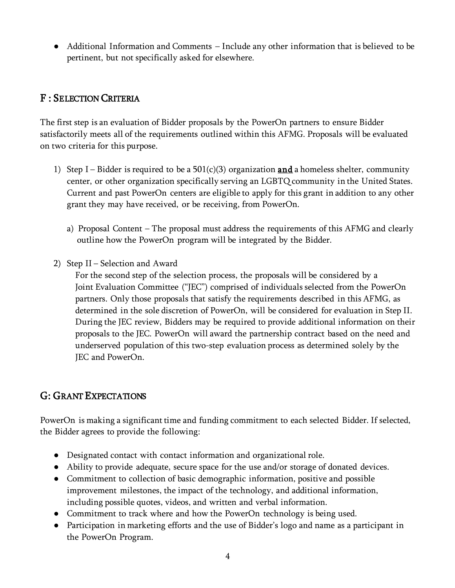● Additional Information and Comments – Include any other information that is believed to be pertinent, but not specifically asked for elsewhere.

### F : SELECTION CRITERIA

The first step is an evaluation of Bidder proposals by the PowerOn partners to ensure Bidder satisfactorily meets all of the requirements outlined within this AFMG. Proposals will be evaluated on two criteria for this purpose.

- 1) Step I Bidder is required to be a  $501(c)(3)$  organization **and** a homeless shelter, community center, or other organization specifically serving an LGBTQ community in the United States. Current and past PowerOn centers are eligible to apply for this grant in addition to any other grant they may have received, or be receiving, from PowerOn.
	- a) Proposal Content The proposal must address the requirements of this AFMG and clearly outline how the PowerOn program will be integrated by the Bidder.
- 2) Step II Selection and Award

For the second step of the selection process, the proposals will be considered by a Joint Evaluation Committee ("JEC") comprised of individuals selected from the PowerOn partners. Only those proposals that satisfy the requirements described in this AFMG, as determined in the sole discretion of PowerOn, will be considered for evaluation in Step II. During the JEC review, Bidders may be required to provide additional information on their proposals to the JEC. PowerOn will award the partnership contract based on the need and underserved population of this two-step evaluation process as determined solely by the JEC and PowerOn.

## G: GRANT EXPECTATIONS

PowerOn is making a significant time and funding commitment to each selected Bidder. If selected, the Bidder agrees to provide the following:

- Designated contact with contact information and organizational role.
- Ability to provide adequate, secure space for the use and/or storage of donated devices.
- Commitment to collection of basic demographic information, positive and possible improvement milestones, the impact of the technology, and additional information, including possible quotes, videos, and written and verbal information.
- Commitment to track where and how the PowerOn technology is being used.
- Participation in marketing efforts and the use of Bidder's logo and name as a participant in the PowerOn Program.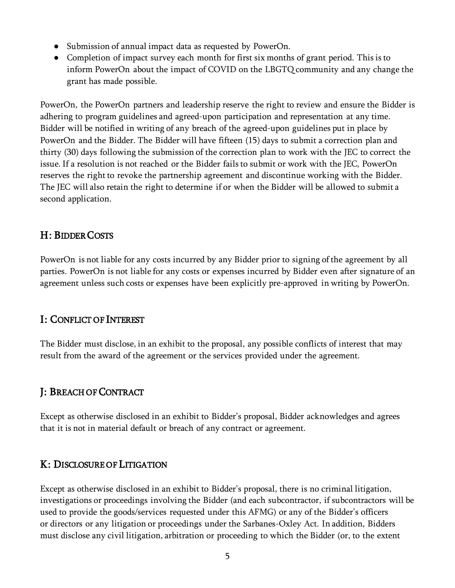- Submission of annual impact data as requested by PowerOn.
- Completion of impact survey each month for first six months of grant period. This is to inform PowerOn about the impact of COVID on the LBGTQ community and any change the grant has made possible.

PowerOn, the PowerOn partners and leadership reserve the right to review and ensure the Bidder is adhering to program guidelines and agreed-upon participation and representation at any time. Bidder will be notified in writing of any breach of the agreed-upon guidelines put in place by PowerOn and the Bidder. The Bidder will have fifteen (15) days to submit a correction plan and thirty (30) days following the submission of the correction plan to work with the JEC to correct the issue. If a resolution is not reached or the Bidder fails to submit or work with the JEC, PowerOn reserves the right to revoke the partnership agreement and discontinue working with the Bidder. The JEC will also retain the right to determine if or when the Bidder will be allowed to submit a second application.

### H: BIDDER COSTS

PowerOn is not liable for any costs incurred by any Bidder prior to signing of the agreement by all parties. PowerOn is not liable for any costs or expenses incurred by Bidder even after signature of an agreement unless such costs or expenses have been explicitly pre-approved in writing by PowerOn.

#### I: CONFLICT OF INTEREST

The Bidder must disclose, in an exhibit to the proposal, any possible conflicts of interest that may result from the award of the agreement or the services provided under the agreement.

#### J: BREACH OF CONTRACT

Except as otherwise disclosed in an exhibit to Bidder's proposal, Bidder acknowledges and agrees that it is not in material default or breach of any contract or agreement.

#### K: DISCLOSURE OF LITIGATION

Except as otherwise disclosed in an exhibit to Bidder's proposal, there is no criminal litigation, investigations or proceedings involving the Bidder (and each subcontractor, if subcontractors will be used to provide the goods/services requested under this AFMG) or any of the Bidder's officers or directors or any litigation or proceedings under the Sarbanes-Oxley Act. In addition, Bidders must disclose any civil litigation, arbitration or proceeding to which the Bidder (or, to the extent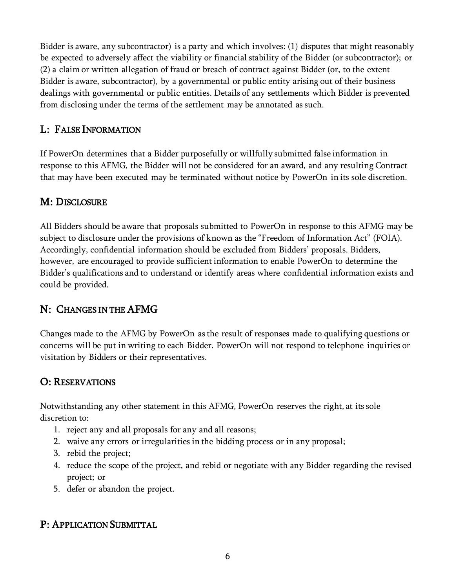Bidder is aware, any subcontractor) is a party and which involves: (1) disputes that might reasonably be expected to adversely affect the viability or financial stability of the Bidder (or subcontractor); or (2) a claim or written allegation of fraud or breach of contract against Bidder (or, to the extent Bidder is aware, subcontractor), by a governmental or public entity arising out of their business dealings with governmental or public entities. Details of any settlements which Bidder is prevented from disclosing under the terms of the settlement may be annotated as such.

## L: FALSE INFORMATION

If PowerOn determines that a Bidder purposefully or willfully submitted false information in response to this AFMG, the Bidder will not be considered for an award, and any resulting Contract that may have been executed may be terminated without notice by PowerOn in its sole discretion.

# M: DISCLOSURE

All Bidders should be aware that proposals submitted to PowerOn in response to this AFMG may be subject to disclosure under the provisions of known as the "Freedom of Information Act" (FOIA). Accordingly, confidential information should be excluded from Bidders' proposals. Bidders, however, are encouraged to provide sufficient information to enable PowerOn to determine the Bidder's qualifications and to understand or identify areas where confidential information exists and could be provided.

# N: CHANGES IN THE AFMG

Changes made to the AFMG by PowerOn as the result of responses made to qualifying questions or concerns will be put in writing to each Bidder. PowerOn will not respond to telephone inquiries or visitation by Bidders or their representatives.

## O: RESERVATIONS

Notwithstanding any other statement in this AFMG, PowerOn reserves the right, at its sole discretion to:

- 1. reject any and all proposals for any and all reasons;
- 2. waive any errors or irregularities in the bidding process or in any proposal;
- 3. rebid the project;
- 4. reduce the scope of the project, and rebid or negotiate with any Bidder regarding the revised project; or
- 5. defer or abandon the project.

## P: APPLICATION SUBMITTAL